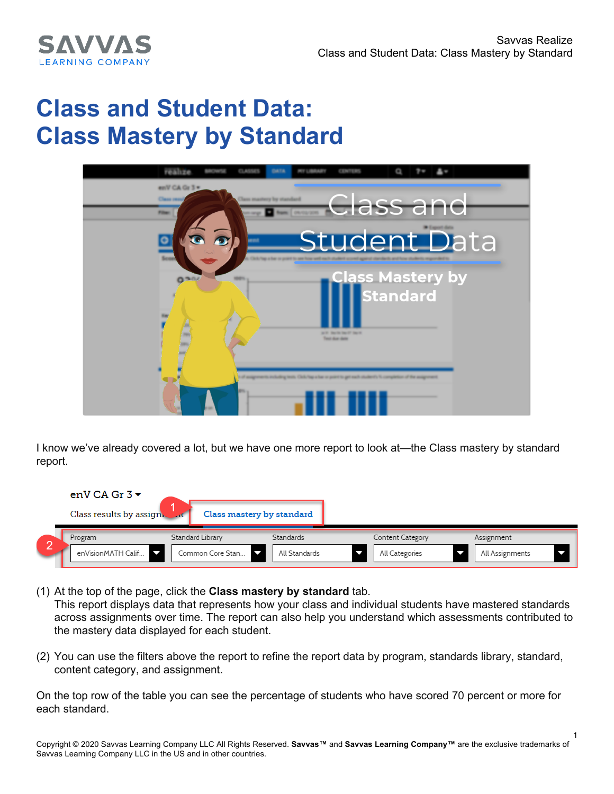1



## **Class and Student Data: Class Mastery by Standard**



I know we've already covered a lot, but we have one more report to look at—the Class mastery by standard report.

| enV CA Gr $3\blacktriangledown$ |                  |                           |                  |                 |  |
|---------------------------------|------------------|---------------------------|------------------|-----------------|--|
| Class results by assign. Full   |                  | Class mastery by standard |                  |                 |  |
| Program                         | Standard Library | Standards                 | Content Category | Assignment      |  |
| enVisionMATH Calif              | Common Core Stan | All Standards             | All Categories   | All Assignments |  |

(1) At the top of the page, click the **Class mastery by standard** tab. This report displays data that represents how your class and individual students have mastered standards across assignments over time. The report can also help you understand which assessments contributed to the mastery data displayed for each student.

(2) You can use the filters above the report to refine the report data by program, standards library, standard, content category, and assignment.

On the top row of the table you can see the percentage of students who have scored 70 percent or more for each standard.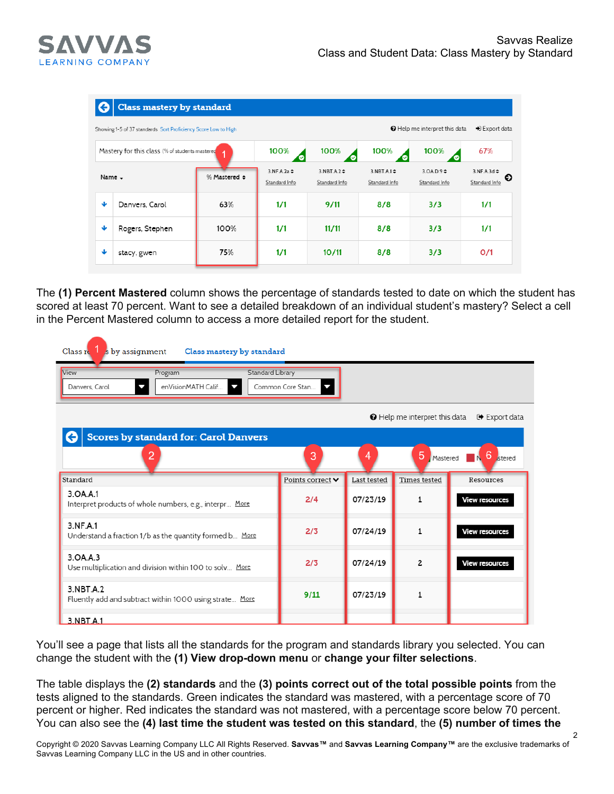

 $\mathfrak{p}$ 



| <b>Class mastery by standard</b>                                                                                                   |                                                |                              |                            |                                       |                                                   |                                        |                                         |  |  |
|------------------------------------------------------------------------------------------------------------------------------------|------------------------------------------------|------------------------------|----------------------------|---------------------------------------|---------------------------------------------------|----------------------------------------|-----------------------------------------|--|--|
| Help me interpret this data<br>$\blacktriangleright$ Export data<br>Showing 1-5 of 37 standards Sort Proficiency Score Low to High |                                                |                              |                            |                                       |                                                   |                                        |                                         |  |  |
|                                                                                                                                    | Mastery for this class (% of students mastered |                              | 100%<br>◡                  | 100%                                  | 100%                                              | 67%                                    |                                         |  |  |
| Name -                                                                                                                             |                                                | % Mastered $\Leftrightarrow$ | 3.NF.A.2a<br>Standard Info | $3.$ NBT $.A.2 \div$<br>Standard Info | $3.$ NBT $A.1$ $\Leftrightarrow$<br>Standard Info | 3.0A.D.9 <sup>4</sup><br>Standard Info | $3.NF.A.3d \div$<br>E)<br>Standard Info |  |  |
| ♦                                                                                                                                  | Danvers, Carol                                 | 63%                          | 1/1                        | 9/11                                  | 8/8                                               | 3/3                                    | 1/1                                     |  |  |
| ₩                                                                                                                                  | Rogers, Stephen                                | 100%                         | 1/1                        | 11/11                                 | 8/8                                               | 3/3                                    | 1/1                                     |  |  |
| ⊌                                                                                                                                  | stacy, gwen                                    | 75%                          | 1/1                        | 10/11                                 | 8/8                                               | 3/3                                    | O/1                                     |  |  |

The **(1) Percent Mastered** column shows the percentage of standards tested to date on which the student has scored at least 70 percent. Want to see a detailed breakdown of an individual student's mastery? Select a cell in the Percent Mastered column to access a more detailed report for the student.

| Class $r1$<br>s by assignment<br>Class mastery by standard |                                                         |                                           |                                     |             |                                      |                         |  |  |
|------------------------------------------------------------|---------------------------------------------------------|-------------------------------------------|-------------------------------------|-------------|--------------------------------------|-------------------------|--|--|
| <b>View</b><br>Danvers, Carol                              | Program<br>enVisionMATH Calif<br>J                      | Standard Library<br>Common Core Stan<br>J |                                     |             |                                      |                         |  |  |
|                                                            |                                                         |                                           |                                     |             | <b>O</b> Help me interpret this data | D Export data           |  |  |
|                                                            | <b>Scores by standard for: Carol Danvers</b><br>2       |                                           | 3                                   | 4           | 5<br>Mastered                        | 6<br><i>stered</i><br>N |  |  |
| Standard                                                   |                                                         |                                           | Points correct $\blacktriangledown$ | Last tested | <b>Times</b> tested                  | Resources               |  |  |
| 3.OA.A.1                                                   | Interpret products of whole numbers, e.g., interpr More |                                           | 2/4                                 | 07/23/19    | $\mathbf{1}$                         | <b>View resources</b>   |  |  |
| 3 NF A 1                                                   | Understand a fraction 1/b as the quantity formed b More |                                           | 2/3                                 | 07/24/19    | $\mathbf{1}$                         | <b>View resources</b>   |  |  |
| 3.0A.A.3                                                   | Use multiplication and division within 100 to soly More |                                           | 2/3                                 | 07/24/19    | $\overline{c}$                       | <b>View resources</b>   |  |  |
| 3.NBT.A.2                                                  | Fluently add and subtract within 1000 using strate More |                                           | 9/11                                | 07/23/19    | 1                                    |                         |  |  |
| 3.NBT.A.1                                                  |                                                         |                                           |                                     |             |                                      |                         |  |  |

You'll see a page that lists all the standards for the program and standards library you selected. You can change the student with the **(1) View drop-down menu** or **change your filter selections**.

The table displays the **(2) standards** and the **(3) points correct out of the total possible points** from the tests aligned to the standards. Green indicates the standard was mastered, with a percentage score of 70 percent or higher. Red indicates the standard was not mastered, with a percentage score below 70 percent. You can also see the **(4) last time the student was tested on this standard**, the **(5) number of times the**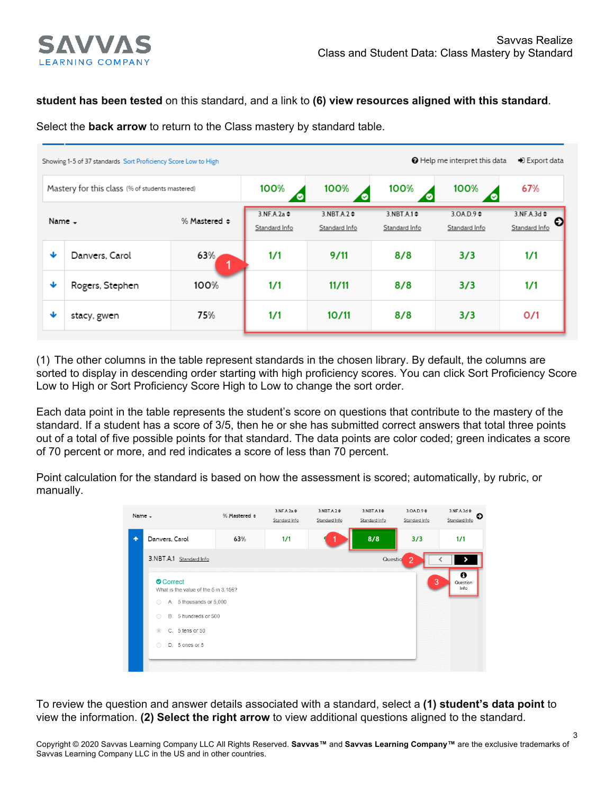

3

## **student has been tested** on this standard, and a link to **(6) view resources aligned with this standard**.

Select the **back arrow** to return to the Class mastery by standard table.

| → Export data<br>Help me interpret this data<br>Showing 1-5 of 37 standards Sort Proficiency Score Low to High |                                                 |      |                            |                                       |                                            |                                  |                                        |  |
|----------------------------------------------------------------------------------------------------------------|-------------------------------------------------|------|----------------------------|---------------------------------------|--------------------------------------------|----------------------------------|----------------------------------------|--|
|                                                                                                                | Mastery for this class (% of students mastered) |      | 100%                       | 100%                                  | 100%<br>◡                                  | 100%<br>ၑ                        | 67%                                    |  |
|                                                                                                                | % Mastered $\Leftrightarrow$<br>Name -          |      | 3.NF.A.2a<br>Standard Info | $3.$ NBT $.A.2 \div$<br>Standard Info | $3.$ NBT $A.1$ $\diamond$<br>Standard Info | $3.0A.D.9 \div$<br>Standard Info | $3.NF.A.3d \div$<br>Ð<br>Standard Info |  |
| ₩                                                                                                              | Danvers, Carol                                  | 63%  | 1/1                        | 9/11                                  | 8/8                                        | 3/3                              | 1/1                                    |  |
| ₩                                                                                                              | Rogers, Stephen                                 | 100% | 1/1                        | 11/11                                 | 8/8                                        | 3/3                              | 1/1                                    |  |
| ₩                                                                                                              | stacy, gwen                                     | 75%  | 1/1                        | 10/11                                 | 8/8                                        | 3/3                              | 0/1                                    |  |

(1) The other columns in the table represent standards in the chosen library. By default, the columns are sorted to display in descending order starting with high proficiency scores. You can click Sort Proficiency Score Low to High or Sort Proficiency Score High to Low to change the sort order.

Each data point in the table represents the student's score on questions that contribute to the mastery of the standard. If a student has a score of 3/5, then he or she has submitted correct answers that total three points out of a total of five possible points for that standard. The data points are color coded; green indicates a score of 70 percent or more, and red indicates a score of less than 70 percent.

Point calculation for the standard is based on how the assessment is scored; automatically, by rubric, or manually.

| Name -                                          |                         | % Mastered $\Leftrightarrow$ | $3.NF.A.2a \div$<br>Standard Info | $3.NBT.A.2 \div$<br>Standard Info | $3.$ NBT.A.1 $\diamond$<br>Standard Info | $3.0A.D.9 \div$<br>Standard Info | 3.NF.A.3d<br>€<br>Standard Info      |
|-------------------------------------------------|-------------------------|------------------------------|-----------------------------------|-----------------------------------|------------------------------------------|----------------------------------|--------------------------------------|
|                                                 | Danvers, Carol          | 63%                          | 1/1                               |                                   | 8/8                                      | 3/3                              | 1/1                                  |
| 3.NBT.A.1 Standard Info                         |                         |                              |                                   |                                   | Questio                                  | 2                                |                                      |
| Correct<br>What is the value of the 5 in 3,156? |                         |                              |                                   |                                   |                                          | 3                                | $\bf \bm \theta$<br>Question<br>Info |
| $\bigcirc$                                      | A. 5 thousands or 5,000 |                              |                                   |                                   |                                          |                                  |                                      |
| $\bigcirc$                                      | B. 5 hundreds or 500    |                              |                                   |                                   |                                          |                                  |                                      |
| $\circledcirc$                                  | C. 5 tens or 50         |                              |                                   |                                   |                                          |                                  |                                      |
| $\bigcirc$                                      | D. 5 ones or 5          |                              |                                   |                                   |                                          |                                  |                                      |

To review the question and answer details associated with a standard, select a **(1) student's data point** to view the information. **(2) Select the right arrow** to view additional questions aligned to the standard.